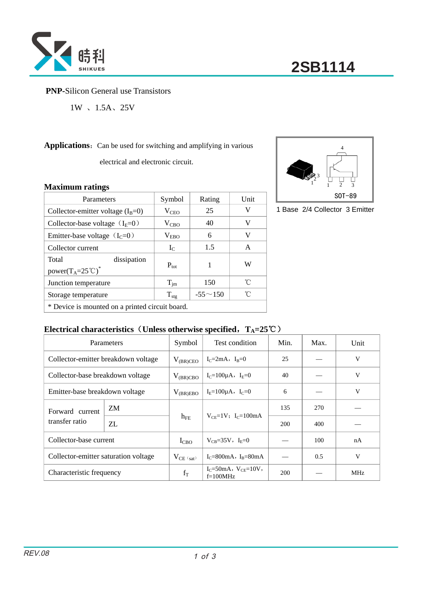

## **PNP-**Silicon General use Transistors

 $1W$  、  $1.5A$ 、  $25V$ 

Applications: Can be used for switching and amplifying in various

electrical and electronic circuit.

### **Maximum ratings**

| *******************                                                           |                  |                |      |  |  |
|-------------------------------------------------------------------------------|------------------|----------------|------|--|--|
| Parameters                                                                    | Symbol           | Rating         | Unit |  |  |
| Collector-emitter voltage $(I_B=0)$                                           | $V_{\rm CEO}$    | 25             | V    |  |  |
| Collector-base voltage $(IE=0)$                                               | $V_{CBO}$        | 40             | V    |  |  |
| Emitter-base voltage $(IC=0)$                                                 | $V_{EBO}$        | 6              | V    |  |  |
| Collector current                                                             | $I_{C}$          | 1.5            | A    |  |  |
| Total<br>dissipation<br>power(T <sub>A</sub> =25 <sup>°</sup> C) <sup>*</sup> | $P_{\text{tot}}$ |                | W    |  |  |
| Junction temperature                                                          | $T_{\text{im}}$  | 150            | °C   |  |  |
| Storage temperature                                                           | $T_{\text{stg}}$ | $-55 \sim 150$ | °C   |  |  |
| * Device is mounted on a printed circuit board.                               |                  |                |      |  |  |

## **Electrical characteristics**(**Unless otherwise specified**,**TA=25**℃)

|                                      | Parameters | Symbol         | Test condition                                | Min. | Max. | Unit       |
|--------------------------------------|------------|----------------|-----------------------------------------------|------|------|------------|
| Collector-emitter breakdown voltage  |            | $V_{(BR)CEO}$  | $I_C = 2mA$ , $I_R = 0$                       | 25   |      | V          |
| Collector-base breakdown voltage     |            | $V_{(BR)CBO}$  | $I_C = 100 \mu A$ , $I_E = 0$                 | 40   |      | V          |
| Emitter-base breakdown voltage       |            | $V_{(BR)EBO}$  | $I_F = 100 \mu A$ , $I_C = 0$                 | 6    |      | V          |
| Forward current<br>transfer ratio    | ZM         |                | $V_{CF} = 1V$ ; I <sub>C</sub> =100mA         | 135  | 270  |            |
|                                      | ZL         | $h_{FE}$       |                                               | 200  | 400  |            |
| Collector-base current               |            | $I_{CBO}$      | $V_{CB} = 35V$ , $I_E = 0$                    |      | 100  | nA         |
| Collector-emitter saturation voltage |            | $V_{CE (sat)}$ | $I_c = 800 \text{mA}$ , $I_B = 80 \text{mA}$  |      | 0.5  | V          |
| Characteristic frequency             |            | $f_T$          | $I_C = 50mA$ , $V_{CE} = 10V$ ,<br>$f=100MHz$ | 200  |      | <b>MHz</b> |



1 Base 2/4 Collector 3 Emitter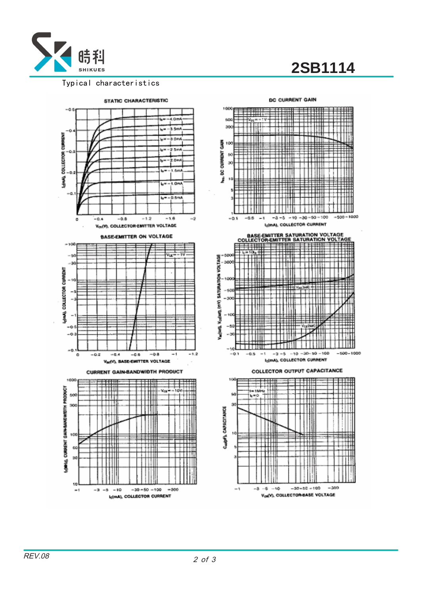

# **2SB1114**

#### Typical characteristics



#### DC CURRENT GAIN